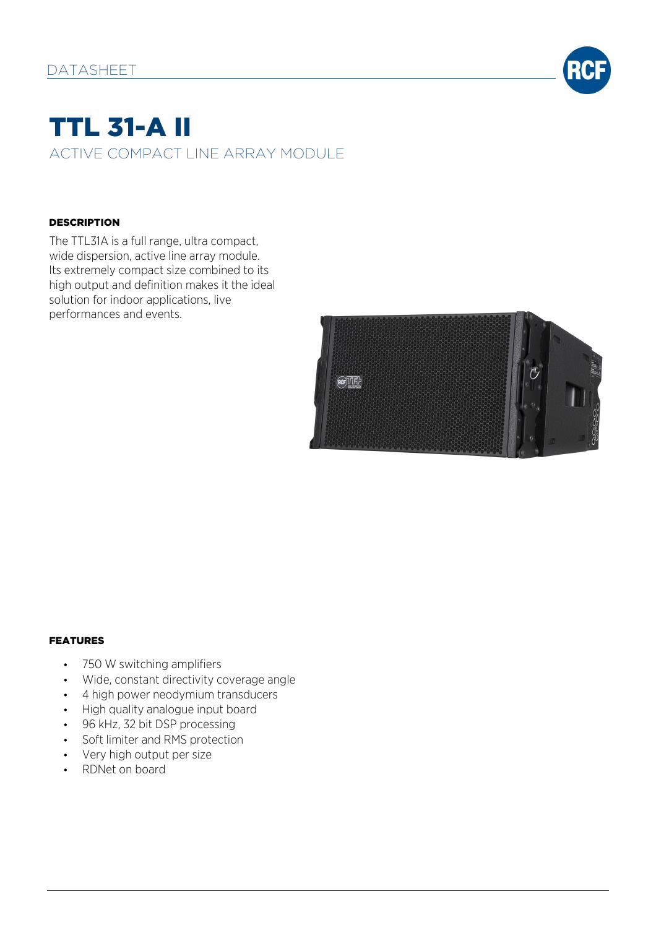

# TTL 31-A II ACTIVE COMPACT LINE ARRAY MODULE

#### **DESCRIPTION**

The TTL31A is a full range, ultra compact, wide dispersion, active line array module. Its extremely compact size combined to its high output and definition makes it the ideal solution for indoor applications, live performances and events.



#### FEATURES

- 750 W switching amplifiers
- Wide, constant directivity coverage angle
- 4 high power neodymium transducers
- High quality analogue input board
- 96 kHz, 32 bit DSP processing
- Soft limiter and RMS protection
- Very high output per size
- RDNet on board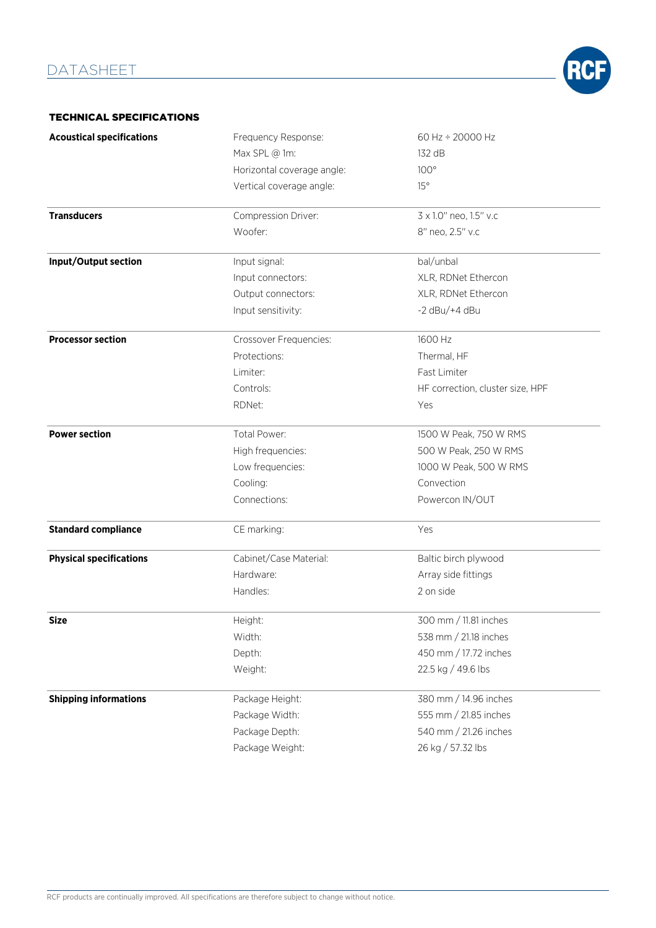

#### TECHNICAL SPECIFICATIONS

| <b>Acoustical specifications</b> | Frequency Response:        | 60 Hz ÷ 20000 Hz                 |
|----------------------------------|----------------------------|----------------------------------|
|                                  | Max SPL @ 1m:              | 132 dB                           |
|                                  | Horizontal coverage angle: | 100°                             |
|                                  | Vertical coverage angle:   | 15°                              |
| <b>Transducers</b>               | Compression Driver:        | 3 x 1.0" neo, 1.5" v.c           |
|                                  | Woofer:                    | 8" neo, 2.5" v.c                 |
| Input/Output section             | Input signal:              | bal/unbal                        |
|                                  | Input connectors:          | XLR, RDNet Ethercon              |
|                                  | Output connectors:         | XLR, RDNet Ethercon              |
|                                  | Input sensitivity:         | $-2$ dBu/ $+4$ dBu               |
| <b>Processor section</b>         | Crossover Frequencies:     | 1600 Hz                          |
|                                  | Protections:               | Thermal, HF                      |
|                                  | Limiter:                   | Fast Limiter                     |
|                                  | Controls:                  | HF correction, cluster size, HPF |
|                                  | RDNet:                     | Yes                              |
| <b>Power section</b>             | Total Power:               | 1500 W Peak, 750 W RMS           |
|                                  | High frequencies:          | 500 W Peak, 250 W RMS            |
|                                  | Low frequencies:           | 1000 W Peak, 500 W RMS           |
|                                  | Cooling:                   | Convection                       |
|                                  | Connections:               | Powercon IN/OUT                  |
| <b>Standard compliance</b>       | CE marking:                | Yes                              |
| <b>Physical specifications</b>   | Cabinet/Case Material:     | Baltic birch plywood             |
|                                  | Hardware:                  | Array side fittings              |
|                                  | Handles:                   | 2 on side                        |
| <b>Size</b>                      | Height:                    | 300 mm / 11.81 inches            |
|                                  | Width:                     | 538 mm / 21.18 inches            |
|                                  | Depth:                     | 450 mm / 17.72 inches            |
|                                  | Weight:                    | 22.5 kg / 49.6 lbs               |
| <b>Shipping informations</b>     | Package Height:            | 380 mm / 14.96 inches            |
|                                  | Package Width:             | 555 mm / 21.85 inches            |
|                                  | Package Depth:             | 540 mm / 21.26 inches            |
|                                  | Package Weight:            | 26 kg / 57.32 lbs                |